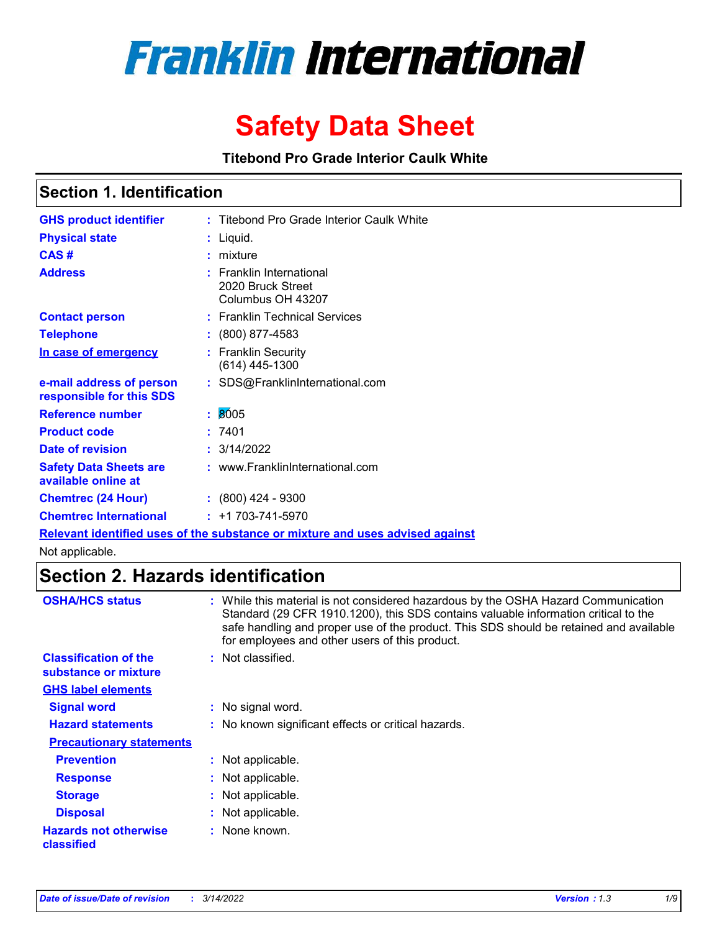

# **Safety Data Sheet**

**Titebond Pro Grade Interior Caulk White**

### **Section 1. Identification**

| <b>GHS product identifier</b>                        |    | Titebond Pro Grade Interior Caulk White                                       |
|------------------------------------------------------|----|-------------------------------------------------------------------------------|
| <b>Physical state</b>                                |    | Liquid.                                                                       |
| CAS#                                                 |    | mixture                                                                       |
| <b>Address</b>                                       |    | <b>Franklin International</b><br>2020 Bruck Street<br>Columbus OH 43207       |
| <b>Contact person</b>                                |    | : Franklin Technical Services                                                 |
| <b>Telephone</b>                                     |    | $: (800) 877 - 4583$                                                          |
| In case of emergency                                 |    | : Franklin Security<br>(614) 445-1300                                         |
| e-mail address of person<br>responsible for this SDS |    | : SDS@FranklinInternational.com                                               |
| <b>Reference number</b>                              | ÷. | 8005                                                                          |
| <b>Product code</b>                                  |    | 7401                                                                          |
| Date of revision                                     |    | : 3/14/2022                                                                   |
| <b>Safety Data Sheets are</b><br>available online at |    | : www.FranklinInternational.com                                               |
| <b>Chemtrec (24 Hour)</b>                            |    | $: (800)$ 424 - 9300                                                          |
| <b>Chemtrec International</b>                        |    | $: +1703 - 741 - 5970$                                                        |
|                                                      |    | Relevant identified uses of the substance or mixture and uses advised against |

Not applicable.

### **Section 2. Hazards identification**

| <b>OSHA/HCS status</b>                               | : While this material is not considered hazardous by the OSHA Hazard Communication<br>Standard (29 CFR 1910.1200), this SDS contains valuable information critical to the<br>safe handling and proper use of the product. This SDS should be retained and available<br>for employees and other users of this product. |
|------------------------------------------------------|-----------------------------------------------------------------------------------------------------------------------------------------------------------------------------------------------------------------------------------------------------------------------------------------------------------------------|
| <b>Classification of the</b><br>substance or mixture | : Not classified.                                                                                                                                                                                                                                                                                                     |
| <b>GHS label elements</b>                            |                                                                                                                                                                                                                                                                                                                       |
| <b>Signal word</b>                                   | : No signal word.                                                                                                                                                                                                                                                                                                     |
| <b>Hazard statements</b>                             | : No known significant effects or critical hazards.                                                                                                                                                                                                                                                                   |
| <b>Precautionary statements</b>                      |                                                                                                                                                                                                                                                                                                                       |
| <b>Prevention</b>                                    | : Not applicable.                                                                                                                                                                                                                                                                                                     |
| <b>Response</b>                                      | : Not applicable.                                                                                                                                                                                                                                                                                                     |
| <b>Storage</b>                                       | : Not applicable.                                                                                                                                                                                                                                                                                                     |
| <b>Disposal</b>                                      | : Not applicable.                                                                                                                                                                                                                                                                                                     |
| <b>Hazards not otherwise</b><br><b>classified</b>    | : None known.                                                                                                                                                                                                                                                                                                         |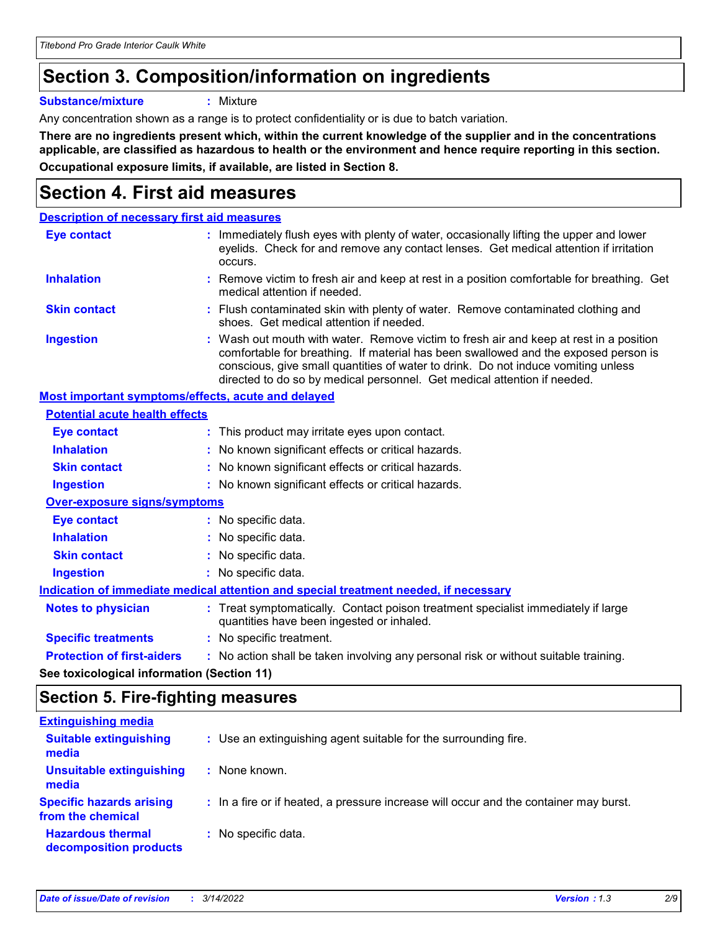# **Section 3. Composition/information on ingredients**

**Substance/mixture :** Mixture

Any concentration shown as a range is to protect confidentiality or is due to batch variation.

**There are no ingredients present which, within the current knowledge of the supplier and in the concentrations applicable, are classified as hazardous to health or the environment and hence require reporting in this section. Occupational exposure limits, if available, are listed in Section 8.**

### **Section 4. First aid measures**

| <b>Description of necessary first aid measures</b> |                                                                                                                                                                                                                                                                                                                                                |
|----------------------------------------------------|------------------------------------------------------------------------------------------------------------------------------------------------------------------------------------------------------------------------------------------------------------------------------------------------------------------------------------------------|
| <b>Eye contact</b>                                 | : Immediately flush eyes with plenty of water, occasionally lifting the upper and lower<br>eyelids. Check for and remove any contact lenses. Get medical attention if irritation<br>occurs.                                                                                                                                                    |
| <b>Inhalation</b>                                  | : Remove victim to fresh air and keep at rest in a position comfortable for breathing. Get<br>medical attention if needed.                                                                                                                                                                                                                     |
| <b>Skin contact</b>                                | : Flush contaminated skin with plenty of water. Remove contaminated clothing and<br>shoes. Get medical attention if needed.                                                                                                                                                                                                                    |
| <b>Ingestion</b>                                   | : Wash out mouth with water. Remove victim to fresh air and keep at rest in a position<br>comfortable for breathing. If material has been swallowed and the exposed person is<br>conscious, give small quantities of water to drink. Do not induce vomiting unless<br>directed to do so by medical personnel. Get medical attention if needed. |
| Most important symptoms/effects, acute and delayed |                                                                                                                                                                                                                                                                                                                                                |
| <b>Potential acute health effects</b>              |                                                                                                                                                                                                                                                                                                                                                |
| <b>Eye contact</b>                                 | : This product may irritate eyes upon contact.                                                                                                                                                                                                                                                                                                 |
| <b>Inhalation</b>                                  | : No known significant effects or critical hazards.                                                                                                                                                                                                                                                                                            |
| <b>Skin contact</b>                                | : No known significant effects or critical hazards.                                                                                                                                                                                                                                                                                            |
| <b>Ingestion</b>                                   | : No known significant effects or critical hazards.                                                                                                                                                                                                                                                                                            |
| <b>Over-exposure signs/symptoms</b>                |                                                                                                                                                                                                                                                                                                                                                |
| Eye contact                                        | : No specific data.                                                                                                                                                                                                                                                                                                                            |
| <b>Inhalation</b>                                  | : No specific data.                                                                                                                                                                                                                                                                                                                            |
| <b>Skin contact</b>                                | : No specific data.                                                                                                                                                                                                                                                                                                                            |
| <b>Ingestion</b>                                   | : No specific data.                                                                                                                                                                                                                                                                                                                            |
|                                                    | Indication of immediate medical attention and special treatment needed, if necessary                                                                                                                                                                                                                                                           |
| <b>Notes to physician</b>                          | : Treat symptomatically. Contact poison treatment specialist immediately if large<br>quantities have been ingested or inhaled.                                                                                                                                                                                                                 |
| <b>Specific treatments</b>                         | : No specific treatment.                                                                                                                                                                                                                                                                                                                       |
| <b>Protection of first-aiders</b>                  | : No action shall be taken involving any personal risk or without suitable training.                                                                                                                                                                                                                                                           |
|                                                    |                                                                                                                                                                                                                                                                                                                                                |

**See toxicological information (Section 11)**

### **Section 5. Fire-fighting measures**

| <b>Extinguishing media</b>                           |                                                                                       |
|------------------------------------------------------|---------------------------------------------------------------------------------------|
| <b>Suitable extinguishing</b><br>media               | : Use an extinguishing agent suitable for the surrounding fire.                       |
| <b>Unsuitable extinguishing</b><br>media             | : None known.                                                                         |
| <b>Specific hazards arising</b><br>from the chemical | : In a fire or if heated, a pressure increase will occur and the container may burst. |
| <b>Hazardous thermal</b><br>decomposition products   | : No specific data.                                                                   |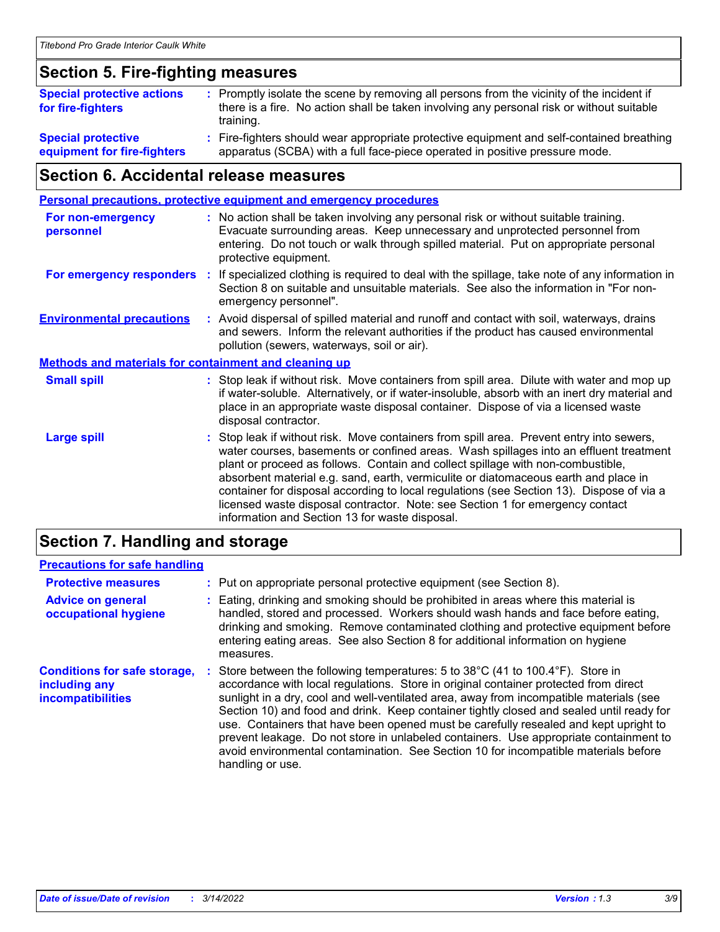### **Section 5. Fire-fighting measures**

| <b>Special protective actions</b><br>for fire-fighters | : Promptly isolate the scene by removing all persons from the vicinity of the incident if<br>there is a fire. No action shall be taken involving any personal risk or without suitable<br>training. |
|--------------------------------------------------------|-----------------------------------------------------------------------------------------------------------------------------------------------------------------------------------------------------|
| <b>Special protective</b>                              | Fire-fighters should wear appropriate protective equipment and self-contained breathing                                                                                                             |
| equipment for fire-fighters                            | apparatus (SCBA) with a full face-piece operated in positive pressure mode.                                                                                                                         |

### **Section 6. Accidental release measures**

|                                                              |    | <b>Personal precautions, protective equipment and emergency procedures</b>                                                                                                                                                                                                                                                                                                                                                                                                                                                                                                                 |
|--------------------------------------------------------------|----|--------------------------------------------------------------------------------------------------------------------------------------------------------------------------------------------------------------------------------------------------------------------------------------------------------------------------------------------------------------------------------------------------------------------------------------------------------------------------------------------------------------------------------------------------------------------------------------------|
| For non-emergency<br>personnel                               |    | : No action shall be taken involving any personal risk or without suitable training.<br>Evacuate surrounding areas. Keep unnecessary and unprotected personnel from<br>entering. Do not touch or walk through spilled material. Put on appropriate personal<br>protective equipment.                                                                                                                                                                                                                                                                                                       |
| For emergency responders                                     | ÷. | If specialized clothing is required to deal with the spillage, take note of any information in<br>Section 8 on suitable and unsuitable materials. See also the information in "For non-<br>emergency personnel".                                                                                                                                                                                                                                                                                                                                                                           |
| <b>Environmental precautions</b>                             |    | : Avoid dispersal of spilled material and runoff and contact with soil, waterways, drains<br>and sewers. Inform the relevant authorities if the product has caused environmental<br>pollution (sewers, waterways, soil or air).                                                                                                                                                                                                                                                                                                                                                            |
| <b>Methods and materials for containment and cleaning up</b> |    |                                                                                                                                                                                                                                                                                                                                                                                                                                                                                                                                                                                            |
| <b>Small spill</b>                                           |    | : Stop leak if without risk. Move containers from spill area. Dilute with water and mop up<br>if water-soluble. Alternatively, or if water-insoluble, absorb with an inert dry material and<br>place in an appropriate waste disposal container. Dispose of via a licensed waste<br>disposal contractor.                                                                                                                                                                                                                                                                                   |
| <b>Large spill</b>                                           |    | : Stop leak if without risk. Move containers from spill area. Prevent entry into sewers,<br>water courses, basements or confined areas. Wash spillages into an effluent treatment<br>plant or proceed as follows. Contain and collect spillage with non-combustible,<br>absorbent material e.g. sand, earth, vermiculite or diatomaceous earth and place in<br>container for disposal according to local regulations (see Section 13). Dispose of via a<br>licensed waste disposal contractor. Note: see Section 1 for emergency contact<br>information and Section 13 for waste disposal. |
|                                                              |    |                                                                                                                                                                                                                                                                                                                                                                                                                                                                                                                                                                                            |

### **Section 7. Handling and storage**

### **Precautions for safe handling**

| <b>Protective measures</b>                                                       | : Put on appropriate personal protective equipment (see Section 8).                                                                                                                                                                                                                                                                                                                                                                                                                                                                                                                                                                                      |
|----------------------------------------------------------------------------------|----------------------------------------------------------------------------------------------------------------------------------------------------------------------------------------------------------------------------------------------------------------------------------------------------------------------------------------------------------------------------------------------------------------------------------------------------------------------------------------------------------------------------------------------------------------------------------------------------------------------------------------------------------|
| <b>Advice on general</b><br>occupational hygiene                                 | : Eating, drinking and smoking should be prohibited in areas where this material is<br>handled, stored and processed. Workers should wash hands and face before eating,<br>drinking and smoking. Remove contaminated clothing and protective equipment before<br>entering eating areas. See also Section 8 for additional information on hygiene<br>measures.                                                                                                                                                                                                                                                                                            |
| <b>Conditions for safe storage,</b><br>including any<br><b>incompatibilities</b> | Store between the following temperatures: 5 to 38°C (41 to 100.4°F). Store in<br>accordance with local regulations. Store in original container protected from direct<br>sunlight in a dry, cool and well-ventilated area, away from incompatible materials (see<br>Section 10) and food and drink. Keep container tightly closed and sealed until ready for<br>use. Containers that have been opened must be carefully resealed and kept upright to<br>prevent leakage. Do not store in unlabeled containers. Use appropriate containment to<br>avoid environmental contamination. See Section 10 for incompatible materials before<br>handling or use. |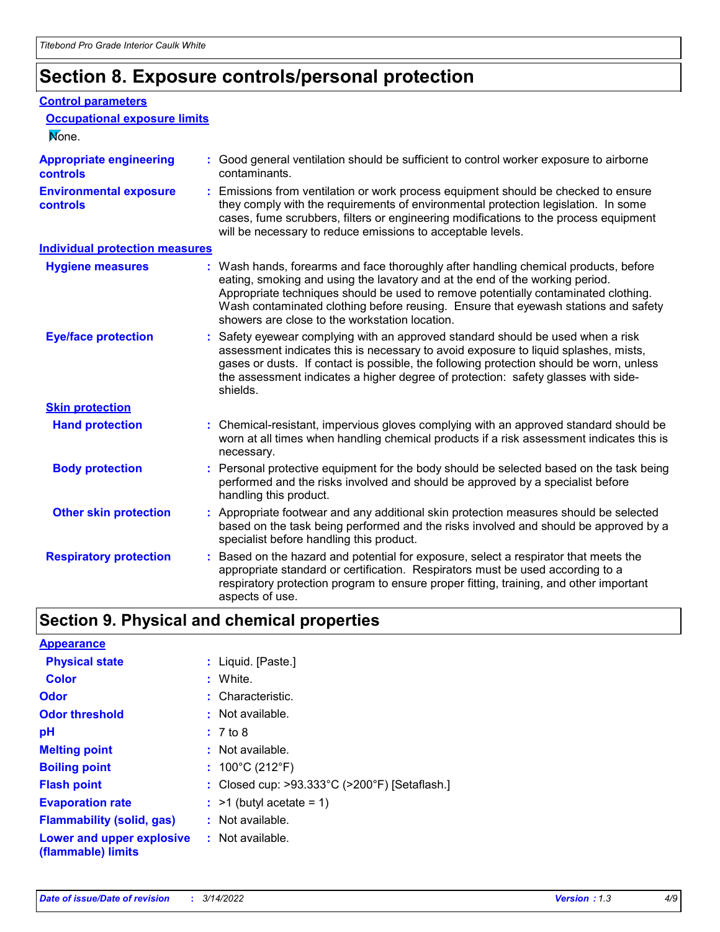## **Section 8. Exposure controls/personal protection**

#### **Control parameters**

| <b>Occupational exposure limits</b><br>None.      |                                                                                                                                                                                                                                                                                                                                                                                                   |
|---------------------------------------------------|---------------------------------------------------------------------------------------------------------------------------------------------------------------------------------------------------------------------------------------------------------------------------------------------------------------------------------------------------------------------------------------------------|
| <b>Appropriate engineering</b><br><b>controls</b> | : Good general ventilation should be sufficient to control worker exposure to airborne<br>contaminants.                                                                                                                                                                                                                                                                                           |
| <b>Environmental exposure</b><br>controls         | : Emissions from ventilation or work process equipment should be checked to ensure<br>they comply with the requirements of environmental protection legislation. In some<br>cases, fume scrubbers, filters or engineering modifications to the process equipment<br>will be necessary to reduce emissions to acceptable levels.                                                                   |
| <b>Individual protection measures</b>             |                                                                                                                                                                                                                                                                                                                                                                                                   |
| <b>Hygiene measures</b>                           | : Wash hands, forearms and face thoroughly after handling chemical products, before<br>eating, smoking and using the lavatory and at the end of the working period.<br>Appropriate techniques should be used to remove potentially contaminated clothing.<br>Wash contaminated clothing before reusing. Ensure that eyewash stations and safety<br>showers are close to the workstation location. |
| <b>Eye/face protection</b>                        | : Safety eyewear complying with an approved standard should be used when a risk<br>assessment indicates this is necessary to avoid exposure to liquid splashes, mists,<br>gases or dusts. If contact is possible, the following protection should be worn, unless<br>the assessment indicates a higher degree of protection: safety glasses with side-<br>shields.                                |
| <b>Skin protection</b>                            |                                                                                                                                                                                                                                                                                                                                                                                                   |
| <b>Hand protection</b>                            | : Chemical-resistant, impervious gloves complying with an approved standard should be<br>worn at all times when handling chemical products if a risk assessment indicates this is<br>necessary.                                                                                                                                                                                                   |
| <b>Body protection</b>                            | : Personal protective equipment for the body should be selected based on the task being<br>performed and the risks involved and should be approved by a specialist before<br>handling this product.                                                                                                                                                                                               |
| <b>Other skin protection</b>                      | : Appropriate footwear and any additional skin protection measures should be selected<br>based on the task being performed and the risks involved and should be approved by a<br>specialist before handling this product.                                                                                                                                                                         |
| <b>Respiratory protection</b>                     | : Based on the hazard and potential for exposure, select a respirator that meets the<br>appropriate standard or certification. Respirators must be used according to a<br>respiratory protection program to ensure proper fitting, training, and other important<br>aspects of use.                                                                                                               |

### **Section 9. Physical and chemical properties**

| <b>Appearance</b>                                                       |                                               |
|-------------------------------------------------------------------------|-----------------------------------------------|
| <b>Physical state</b>                                                   | : Liquid. [Paste.]                            |
| <b>Color</b>                                                            | : White.                                      |
| Odor                                                                    | : Characteristic.                             |
| <b>Odor threshold</b>                                                   | $:$ Not available.                            |
| рH                                                                      | : 7 to 8                                      |
| <b>Melting point</b>                                                    | $:$ Not available.                            |
| <b>Boiling point</b>                                                    | : $100^{\circ}$ C (212 $^{\circ}$ F)          |
| <b>Flash point</b>                                                      | : Closed cup: >93.333°C (>200°F) [Setaflash.] |
| <b>Evaporation rate</b>                                                 | $:$ >1 (butyl acetate = 1)                    |
| <b>Flammability (solid, gas)</b>                                        | : Not available.                              |
| <b>Lower and upper explosive : Not available.</b><br>(flammable) limits |                                               |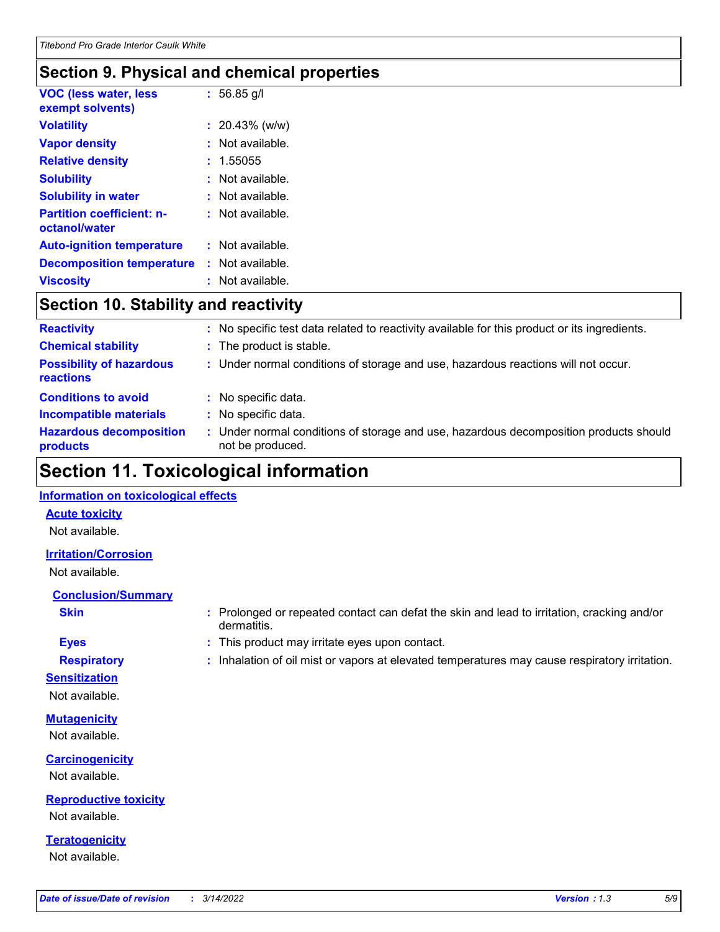### **Section 9. Physical and chemical properties**

| <b>VOC (less water, less</b><br>exempt solvents)  | $: 56.85$ g/l     |
|---------------------------------------------------|-------------------|
| <b>Volatility</b>                                 | $: 20.43\%$ (w/w) |
| <b>Vapor density</b>                              | : Not available.  |
| <b>Relative density</b>                           | : 1.55055         |
| <b>Solubility</b>                                 | : Not available.  |
| <b>Solubility in water</b>                        | : Not available.  |
| <b>Partition coefficient: n-</b><br>octanol/water | : Not available.  |
| <b>Auto-ignition temperature</b>                  | : Not available.  |
| <b>Decomposition temperature</b>                  | : Not available.  |
| <b>Viscosity</b>                                  | : Not available.  |

### **Section 10. Stability and reactivity**

| <b>Reactivity</b>                            | : No specific test data related to reactivity available for this product or its ingredients.              |
|----------------------------------------------|-----------------------------------------------------------------------------------------------------------|
| <b>Chemical stability</b>                    | : The product is stable.                                                                                  |
| <b>Possibility of hazardous</b><br>reactions | : Under normal conditions of storage and use, hazardous reactions will not occur.                         |
| <b>Conditions to avoid</b>                   | : No specific data.                                                                                       |
| <b>Incompatible materials</b>                | : No specific data.                                                                                       |
| <b>Hazardous decomposition</b><br>products   | : Under normal conditions of storage and use, hazardous decomposition products should<br>not be produced. |

### **Section 11. Toxicological information**

#### **Information on toxicological effects**

#### **Acute toxicity**

Not available.

#### **Irritation/Corrosion**

Not available.

### **Conclusion/Summary**

- 
- **Sensitization**

Not available.

### **Mutagenicity**

Not available.

### **Carcinogenicity** Not available.

**Reproductive toxicity** Not available.

**Teratogenicity** Not available.

- **Skin Example 3 :** Prolonged or repeated contact can defat the skin and lead to irritation, cracking and/or dermatitis.
- **Eyes :** This product may irritate eyes upon contact.
- **Respiratory :** Inhalation of oil mist or vapors at elevated temperatures may cause respiratory irritation.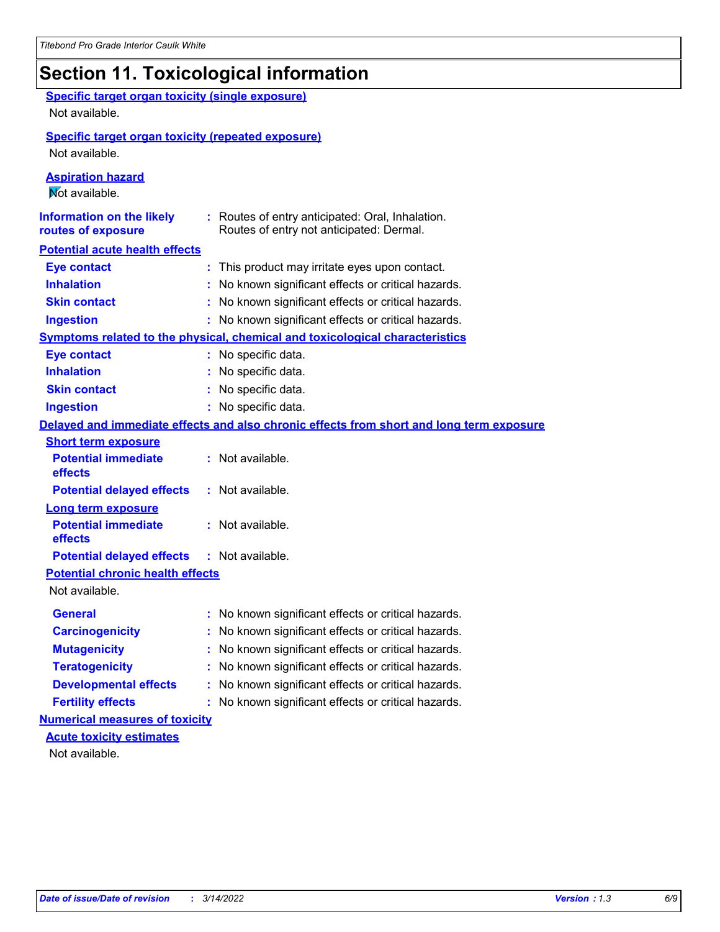# **Section 11. Toxicological information**

| <b>Specific target organ toxicity (single exposure)</b><br>Not available.   |                                                                                              |
|-----------------------------------------------------------------------------|----------------------------------------------------------------------------------------------|
| <b>Specific target organ toxicity (repeated exposure)</b><br>Not available. |                                                                                              |
| <b>Aspiration hazard</b><br>Mot available.                                  |                                                                                              |
| <b>Information on the likely</b><br>routes of exposure                      | : Routes of entry anticipated: Oral, Inhalation.<br>Routes of entry not anticipated: Dermal. |
| <b>Potential acute health effects</b>                                       |                                                                                              |
| <b>Eye contact</b>                                                          | : This product may irritate eyes upon contact.                                               |
| <b>Inhalation</b>                                                           | : No known significant effects or critical hazards.                                          |
| <b>Skin contact</b>                                                         | : No known significant effects or critical hazards.                                          |
| <b>Ingestion</b>                                                            | : No known significant effects or critical hazards.                                          |
|                                                                             | <b>Symptoms related to the physical, chemical and toxicological characteristics</b>          |
| <b>Eye contact</b>                                                          | : No specific data.                                                                          |
| <b>Inhalation</b>                                                           | : No specific data.                                                                          |
| <b>Skin contact</b>                                                         | : No specific data.                                                                          |
| <b>Ingestion</b>                                                            | : No specific data.                                                                          |
|                                                                             | Delayed and immediate effects and also chronic effects from short and long term exposure     |
| <b>Short term exposure</b>                                                  |                                                                                              |
| <b>Potential immediate</b><br>effects                                       | : Not available.                                                                             |
| <b>Potential delayed effects</b>                                            | : Not available.                                                                             |
| <b>Long term exposure</b>                                                   |                                                                                              |
| <b>Potential immediate</b><br>effects                                       | : Not available.                                                                             |
| <b>Potential delayed effects</b>                                            | : Not available.                                                                             |
| <b>Potential chronic health effects</b><br>Not available.                   |                                                                                              |
| General                                                                     | : No known significant effects or critical hazards.                                          |
| <b>Carcinogenicity</b>                                                      | : No known significant effects or critical hazards.                                          |
| <b>Mutagenicity</b>                                                         | No known significant effects or critical hazards.                                            |
| <b>Teratogenicity</b>                                                       | No known significant effects or critical hazards.                                            |
| <b>Developmental effects</b>                                                | No known significant effects or critical hazards.                                            |
| <b>Fertility effects</b>                                                    | No known significant effects or critical hazards.                                            |
| <b>Numerical measures of toxicity</b>                                       |                                                                                              |
| <b>Acute toxicity estimates</b>                                             |                                                                                              |
| Not available.                                                              |                                                                                              |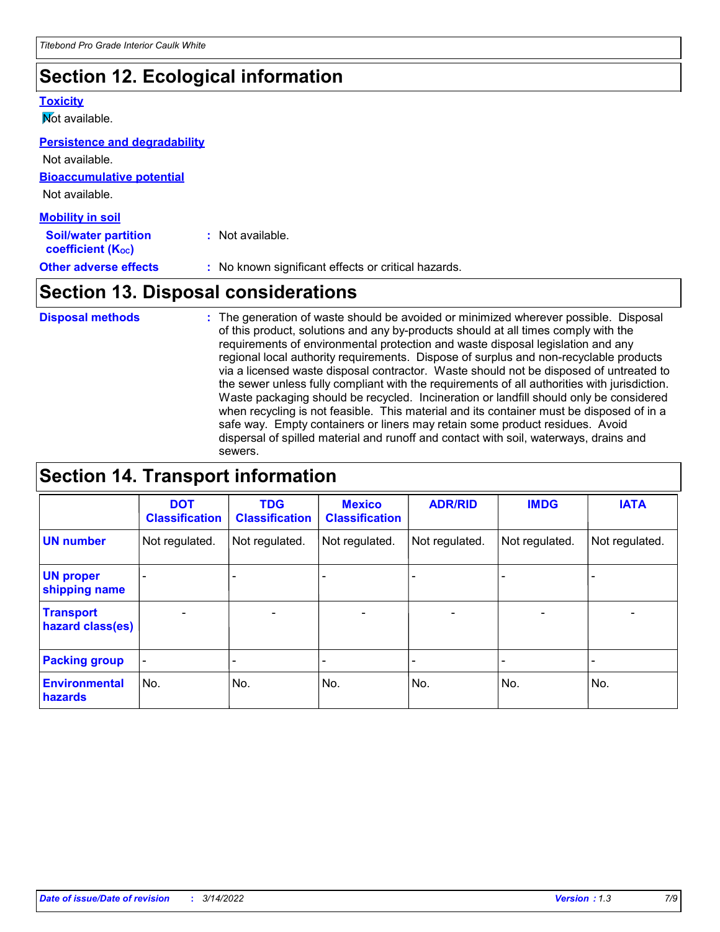## **Section 12. Ecological information**

#### **Toxicity**

**Not available.** 

#### **Persistence and degradability**

**Bioaccumulative potential** Not available. Not available.

| <b>Mobility in soil</b>                                 |                                                     |
|---------------------------------------------------------|-----------------------------------------------------|
| <b>Soil/water partition</b><br><b>coefficient (Koc)</b> | : Not available.                                    |
| <b>Other adverse effects</b>                            | : No known significant effects or critical hazards. |

### **Section 13. Disposal considerations**

The generation of waste should be avoided or minimized wherever possible. Disposal of this product, solutions and any by-products should at all times comply with the requirements of environmental protection and waste disposal legislation and any regional local authority requirements. Dispose of surplus and non-recyclable products via a licensed waste disposal contractor. Waste should not be disposed of untreated to the sewer unless fully compliant with the requirements of all authorities with jurisdiction. Waste packaging should be recycled. Incineration or landfill should only be considered when recycling is not feasible. This material and its container must be disposed of in a safe way. Empty containers or liners may retain some product residues. Avoid dispersal of spilled material and runoff and contact with soil, waterways, drains and sewers. **Disposal methods :**

### **Section 14. Transport information**

|                                      | <b>DOT</b><br><b>Classification</b> | <b>TDG</b><br><b>Classification</b> | <b>Mexico</b><br><b>Classification</b> | <b>ADR/RID</b>               | <b>IMDG</b>              | <b>IATA</b>              |
|--------------------------------------|-------------------------------------|-------------------------------------|----------------------------------------|------------------------------|--------------------------|--------------------------|
| <b>UN number</b>                     | Not regulated.                      | Not regulated.                      | Not regulated.                         | Not regulated.               | Not regulated.           | Not regulated.           |
| <b>UN proper</b><br>shipping name    |                                     |                                     |                                        |                              |                          |                          |
| <b>Transport</b><br>hazard class(es) | $\overline{\phantom{m}}$            | $\overline{\phantom{0}}$            | $\qquad \qquad$                        | $\qquad \qquad \blacksquare$ | $\overline{\phantom{0}}$ | $\overline{\phantom{0}}$ |
| <b>Packing group</b>                 | $\overline{\phantom{a}}$            | -                                   |                                        | -                            |                          | -                        |
| <b>Environmental</b><br>hazards      | No.                                 | No.                                 | No.                                    | No.                          | No.                      | No.                      |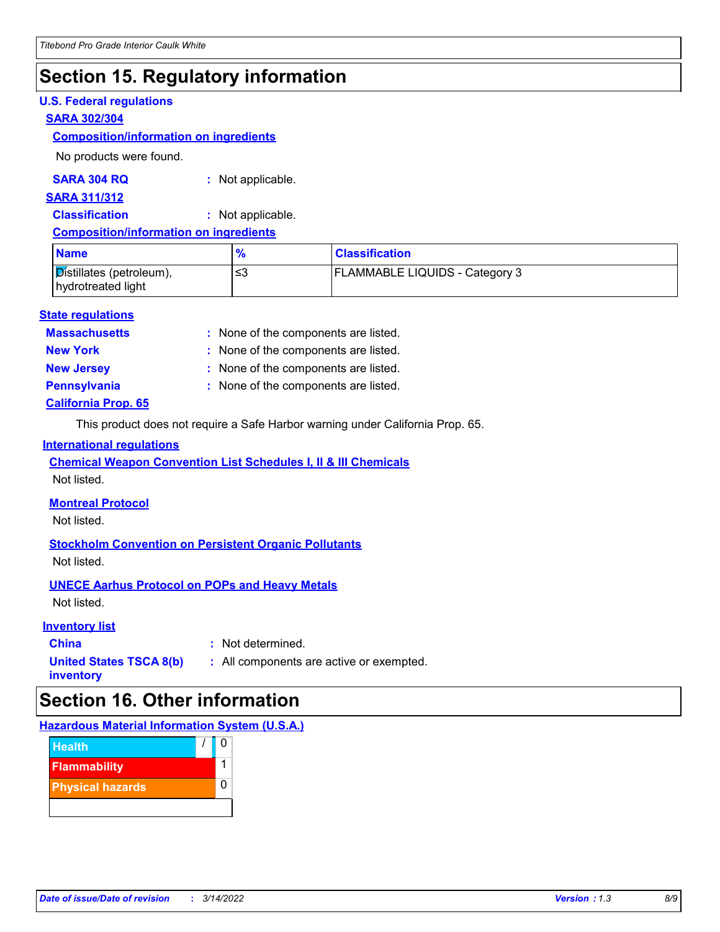### **Section 15. Regulatory information**

#### **U.S. Federal regulations**

#### **SARA 302/304**

#### **Composition/information on ingredients**

No products were found.

#### **SARA 304 RQ :** Not applicable.

#### **SARA 311/312**

**Classification :** Not applicable.

### **Composition/information on ingredients**

| <b>Name</b>                                                 | $\frac{1}{2}$ | <b>Classification</b>                 |
|-------------------------------------------------------------|---------------|---------------------------------------|
| $\mathcal{D}$ istillates (petroleum),<br>hydrotreated light | ≤3            | <b>FLAMMABLE LIQUIDS - Category 3</b> |

#### **State regulations**

**Massachusetts :**

: None of the components are listed.

**New York :** None of the components are listed.

**New Jersey :** None of the components are listed.

**Pennsylvania :** None of the components are listed.

### **California Prop. 65**

This product does not require a Safe Harbor warning under California Prop. 65.

#### **International regulations**

**Chemical Weapon Convention List Schedules I, II & III Chemicals**

Not listed.

### **Montreal Protocol**

Not listed.

### **Stockholm Convention on Persistent Organic Pollutants**

Not listed.

### **UNECE Aarhus Protocol on POPs and Heavy Metals**

Not listed.

### **Inventory list**

**China :** Not determined.

**United States TSCA 8(b) inventory**

**:** All components are active or exempted.

### **Section 16. Other information**

### **Hazardous Material Information System (U.S.A.)**

| <b>Health</b>           |  |
|-------------------------|--|
| <b>Flammability</b>     |  |
| <b>Physical hazards</b> |  |
|                         |  |